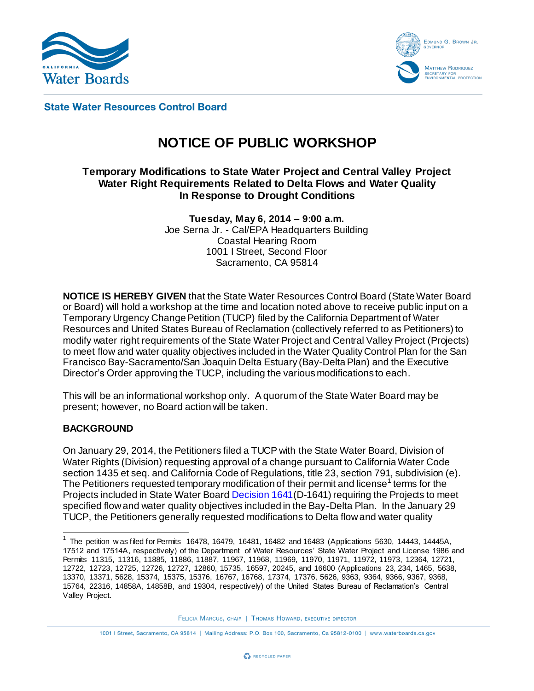



**State Water Resources Control Board** 

# **NOTICE OF PUBLIC WORKSHOP**

# **Temporary Modifications to State Water Project and Central Valley Project Water Right Requirements Related to Delta Flows and Water Quality In Response to Drought Conditions**

**Tuesday, May 6, 2014 – 9:00 a.m.** Joe Serna Jr. - Cal/EPA Headquarters Building Coastal Hearing Room 1001 I Street, Second Floor Sacramento, CA 95814

**NOTICE IS HEREBY GIVEN** that the State Water Resources Control Board (State Water Board or Board) will hold a workshop at the time and location noted above to receive public input on a Temporary Urgency Change Petition (TUCP) filed by the California Department of Water Resources and United States Bureau of Reclamation (collectively referred to as Petitioners) to modify water right requirements of the State Water Project and Central Valley Project (Projects) to meet flow and water quality objectives included in the Water Quality Control Plan for the San Francisco Bay-Sacramento/San Joaquin Delta Estuary (Bay-Delta Plan) and the Executive Director's Order approving the TUCP, including the various modifications to each.

This will be an informational workshop only. A quorum of the State Water Board may be present; however, no Board action will be taken.

## **BACKGROUND**

On January 29, 2014, the Petitioners filed a TUCP with the State Water Board, Division of Water Rights (Division) requesting approval of a change pursuant to California Water Code section 1435 et seq. and California Code of Regulations, title 23, section 791, subdivision (e). The Petitioners requested temporary modification of their permit and license<sup>1</sup> terms for the Projects included in State Water Boar[d Decision 1641](http://www.waterboards.ca.gov/waterrights/board_decisions/adopted_orders/decisions/d1600_d1649/wrd1641_1999dec29.pdf)(D-1641) requiring the Projects to meet specified flow and water quality objectives included in the Bay-Delta Plan. In the January 29 TUCP, the Petitioners generally requested modifications to Delta flow and water quality

FELICIA MARCUS, CHAIR | THOMAS HOWARD, EXECUTIVE DIRECTOR

 1 The petition w as filed for Permits 16478, 16479, 16481, 16482 and 16483 (Applications 5630, 14443, 14445A, 17512 and 17514A, respectively) of the Department of Water Resources' State Water Project and License 1986 and Permits 11315, 11316, 11885, 11886, 11887, 11967, 11968, 11969, 11970, 11971, 11972, 11973, 12364, 12721, 12722, 12723, 12725, 12726, 12727, 12860, 15735, 16597, 20245, and 16600 (Applications 23, 234, 1465, 5638, 13370, 13371, 5628, 15374, 15375, 15376, 16767, 16768, 17374, 17376, 5626, 9363, 9364, 9366, 9367, 9368, 15764, 22316, 14858A, 14858B, and 19304, respectively) of the United States Bureau of Reclamation's Central Valley Project.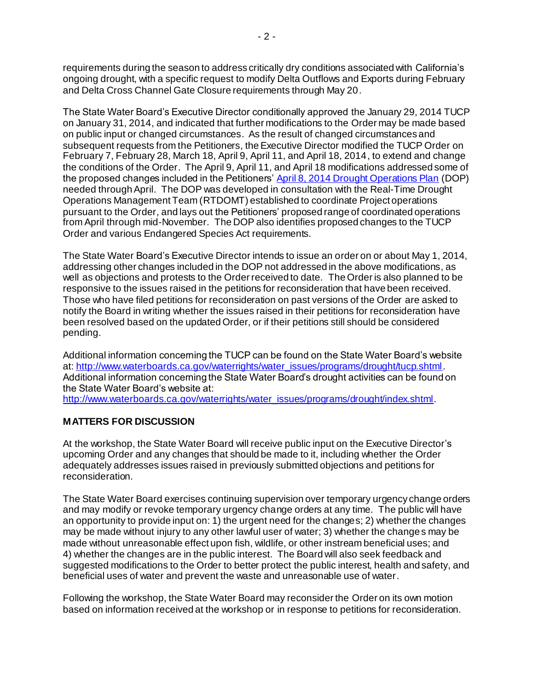requirements during the season to address critically dry conditions associated with California's ongoing drought, with a specific request to modify Delta Outflows and Exports during February and Delta Cross Channel Gate Closure requirements through May 20.

The State Water Board's Executive Director conditionally approved the January 29, 2014 TUCP on January 31, 2014, and indicated that further modifications to the Order may be made based on public input or changed circumstances. As the result of changed circumstances and subsequent requests from the Petitioners, the Executive Director modified the TUCP Order on February 7, February 28, March 18, April 9, April 11, and April 18, 2014, to extend and change the conditions of the Order. The April 9, April 11, and April 18 modifications addressed some of the proposed changes included in the Petitioners[' April 8, 2014 Drought Operations Plan](http://ca.gov/drought/pdf/2014-operations-plan.pdf) (DOP) needed through April. The DOP was developed in consultation with the Real-Time Drought Operations Management Team (RTDOMT) established to coordinate Project operations pursuant to the Order, and lays out the Petitioners' proposed range of coordinated operations from April through mid-November. The DOP also identifies proposed changes to the TUCP Order and various Endangered Species Act requirements.

The State Water Board's Executive Director intends to issue an order on or about May 1, 2014, addressing other changes included in the DOP not addressed in the above modifications, as well as objections and protests to the Order received to date. The Order is also planned to be responsive to the issues raised in the petitions for reconsideration that have been received. Those who have filed petitions for reconsideration on past versions of the Order are asked to notify the Board in writing whether the issues raised in their petitions for reconsideration have been resolved based on the updated Order, or if their petitions still should be considered pending.

Additional information concerning the TUCP can be found on the State Water Board's website at: [http://www.waterboards.ca.gov/waterrights/water\\_issues/programs/drought/tucp.shtml](http://www.waterboards.ca.gov/waterrights/water_issues/programs/drought/tucp.shtml) Additional information concerning the State Water Board's drought activities can be found on the State Water Board's website at:

[http://www.waterboards.ca.gov/waterrights/water\\_issues/programs/drought/index.shtml](http://www.waterboards.ca.gov/waterrights/water_issues/programs/drought/index.shtml).

# **MATTERS FOR DISCUSSION**

At the workshop, the State Water Board will receive public input on the Executive Director's upcoming Order and any changes that should be made to it, including whether the Order adequately addresses issues raised in previously submitted objections and petitions for reconsideration.

The State Water Board exercises continuing supervision over temporary urgency change orders and may modify or revoke temporary urgency change orders at any time. The public will have an opportunity to provide input on: 1) the urgent need for the changes; 2) whether the changes may be made without injury to any other lawful user of water; 3) whether the changes may be made without unreasonable effect upon fish, wildlife, or other instream beneficial uses; and 4) whether the changes are in the public interest. The Board will also seek feedback and suggested modifications to the Order to better protect the public interest, health and safety, and beneficial uses of water and prevent the waste and unreasonable use of water.

Following the workshop, the State Water Board may reconsider the Order on its own motion based on information received at the workshop or in response to petitions for reconsideration.